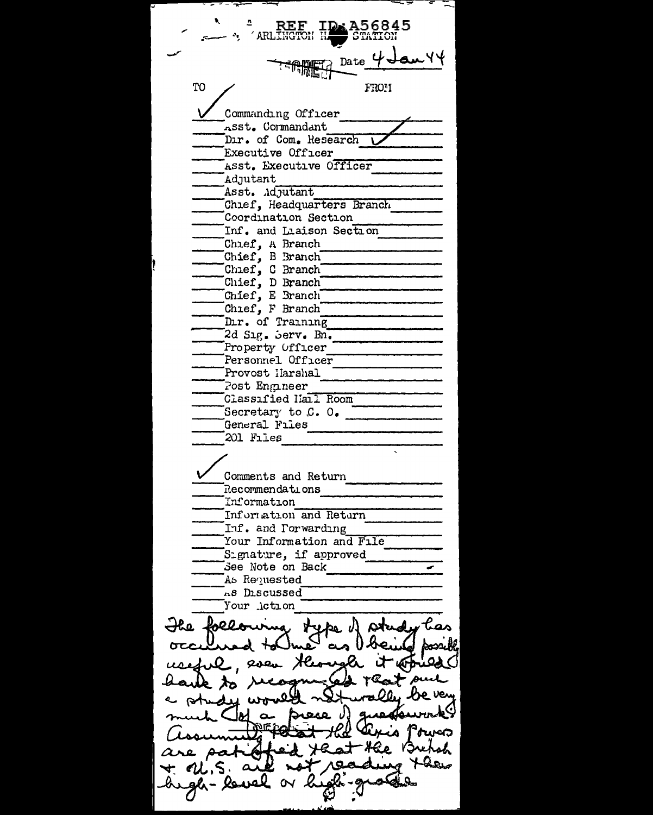۳۲ سه Date TO FROM Commanding Officer Asst. Cormandant Dir. of Com. Research Executive Officer Asst. Executive Officer Adjutant Asst. Adjutant Chief, Headquarters Branch Coordination Section Inf. and Liaison Section Chief, A Branch Chief, B Branch Chief, C Branch Chief, D Branch Chief, E Branch Chief, F Branch Dir. of Training 2d Sig. Serv. Bn. Property Officer Personnel Officer Provost Harshal Post Engineer Classified Hall Room Secretary to C. O. General Files 201 Files Comments and Return Recommendations Information Information and Return Inf. and Porwarding Your Information and File Signature, if approved See Note on Back ☞ As Requested AS Discussed Your Action The following type of study has Sossible n. e. atorical Hlo puel And Lexis Power -Hee Bret sh ୍ୟୁ Lacy  $Q_{\mathbf{A}}$  $\Delta$  $PL.S.$ gh-lo  $\propto k$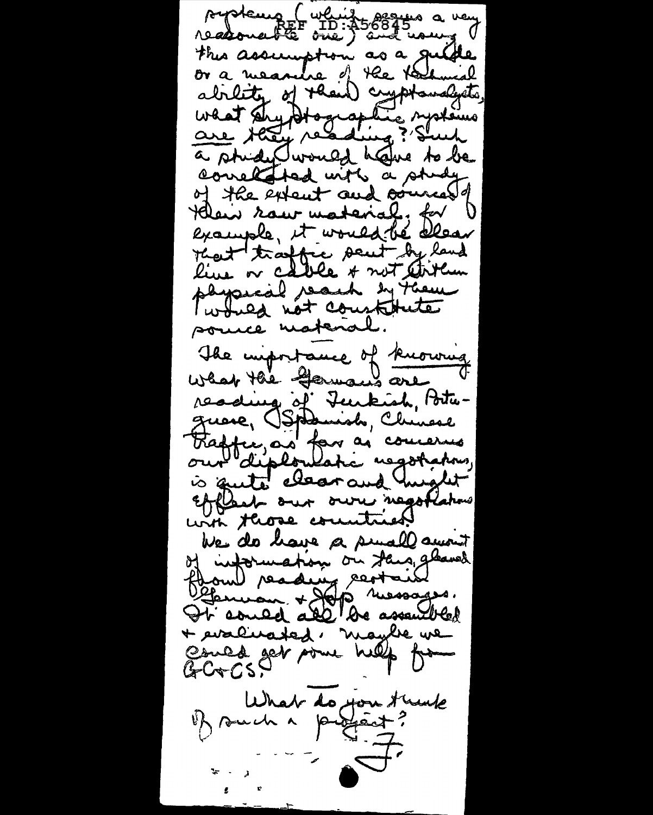proteurs (which seems a very this assumption as a guide or a measure of the technical ability of their cyptomalysts, a study would have to be correlated with a study of the extent and orienals Heir raw material, for example, it would be allear That traffic sent by land live or cable & not arteur physical reach by theme I would not constitute souce material. The importance of knowing reading of Turkish, Portuguere, Ospanish, Chinese<br>Fredfunção for as concerns is quite electrand might Efflech our own negotiations with those countries. We do have a small amount of information on Jans, glaves flow reading restains Ot could all de assembled + evaluated, nagbe we Could get some help from What do you trunk  $\mathbf{t}_i \rightarrow \mathbf{t}_i$